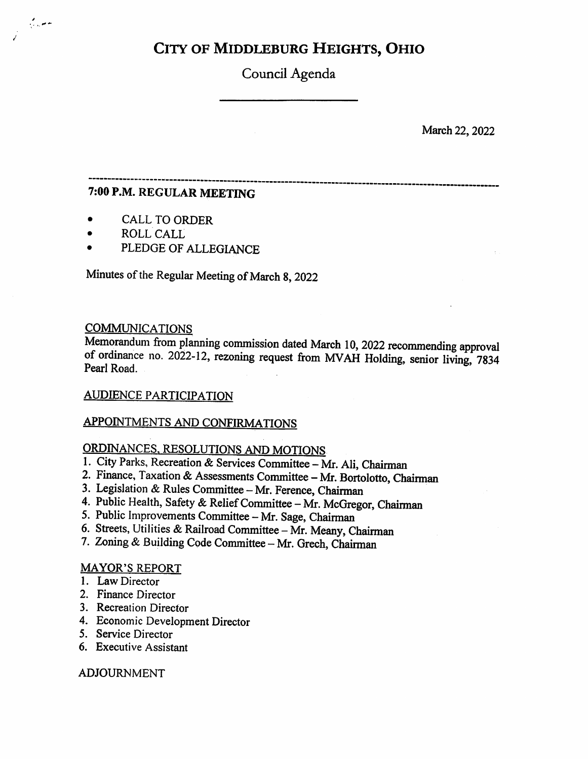# City of Middleburg Heights, Ohio

Council Agenda

March 22, 2022

### 7:00 P.M. REGULAR MEETING

- CALL TO ORDER
- ROLL CALL

J

بالمرادي

PLEDGE OF ALLEGIANCE

Minutes of the Regular Meeting of March 8, 2022

### **COMMUNICATIONS**

Memorandum from planning commission dated March 10, 2022 recommending approval of ordinance no. 2022-12, rezoning request from MVAH Holding, senior living, 7834 Pearl Road.

### AUDIENCE PARTICIPATION

### APPOINTMENTS AND CONFIRMATIONS

### ORDINANCES. RESOLUTIONS AND MOTIONS

- 1. City Parks, Recreation & Services Committee Mr. Ali, Chairman
- 2. Finance, Taxation & Assessments Committee Mr. Bortolotto, Chairman
- 3. Legislation & Rules Committee Mr. Ference, Chairman
- 4. Public Health, Safety & Relief Committee Mr. McGregor, Chairman
- 5. Public Improvements Committee Mr. Sage, Chairman
- 6. Streets, Utilities & Railroad Committee Mr. Meany, Chairman
- 7. Zoning & Building Code Committee Mr. Grech, Chairman

### MAYOR'S REPORT

- 1. Law Director
- 2. Finance Director
- 3. Recreation Director
- 4. Economic Development Director
- 5. Service Director
- 6. Executive Assistant

### ADJOURNMENT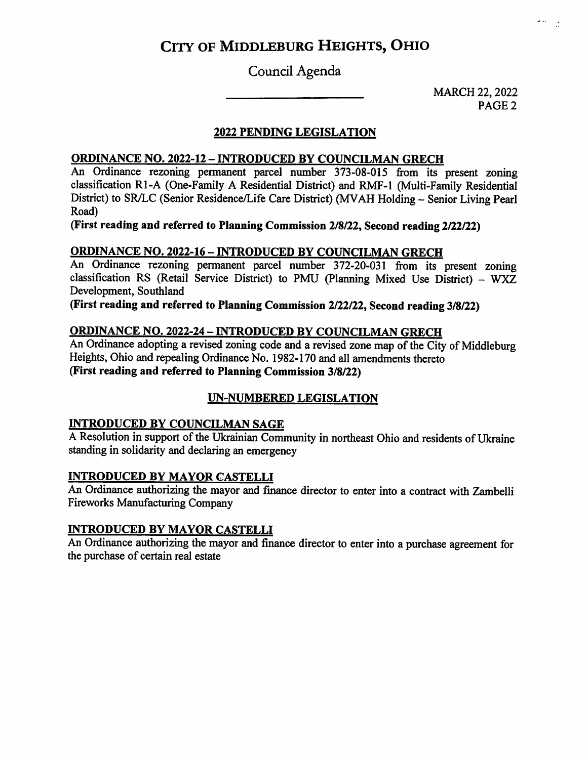# City of Middleburg Heights, Ohio

### Council Agenda

MARCH 22,2022 PAGE 2  $\left( \begin{array}{cc} 0 & 0 \\ 0 & 0 \end{array} \right)$ 

### 2022 PENDING LEGISLATION

### ORDINANCE NO. 2022-12 - INTRODUCED BY COUNCILMAN GRECH

An Ordinance rezoning permanent parcel number 373-08-015 from its present zoning classification Rl-A (One-Family A Residential District) and RMF-1 (Multi-Family Residential District) to SR/LC (Senior Residence/Life Care District) (MVAH Holding - Senior Living Pearl Road)

(First reading and referred to Planning Commission 2/8/22, Second reading 2/22/22)

### ORDINANCE NO. 2022-16 - INTRODUCED BY COUNCILMAN GRECH

An Ordinance rezoning permanent parcel number 372-20-031 from its present zoning classification RS (Retail Service District) to PMU (Planning Mixed Use District) - WXZ Development, Southland

(First reading and referred to Planning Commission 2/22/22, Second reading 3/8/22)

### ORDINANCE NO. 2022-24 - INTRODUCED BY COUNCILMAN GRECH

An Ordinance adopting a revised zoning code and a revised zone map of the City of Middleburg Heights, Ohio and repealing Ordinance No. 1982-170 and all amendments thereto (First reading and referred to Planning Commission 3/8/22)

### UN-NUMBERED LEGISLATION

### INTRODUCED BY COUNCILMAN SAGE

A Resolution in support of the Ukrainian Community in northeast Ohio and residents of Ukraine standing in solidarity and declaring an emergency

### INTRODUCED BY MAYOR CASTELLI

An Ordinance authorizing the mayor and finance director to enter into a contract with Zambelli Fireworks Manufacturing Company

### INTRODUCED BY MAYOR CASTELLI

An Ordinance authorizing the mayor and finance director to enter into a purchase agreement for the purchase of certain real estate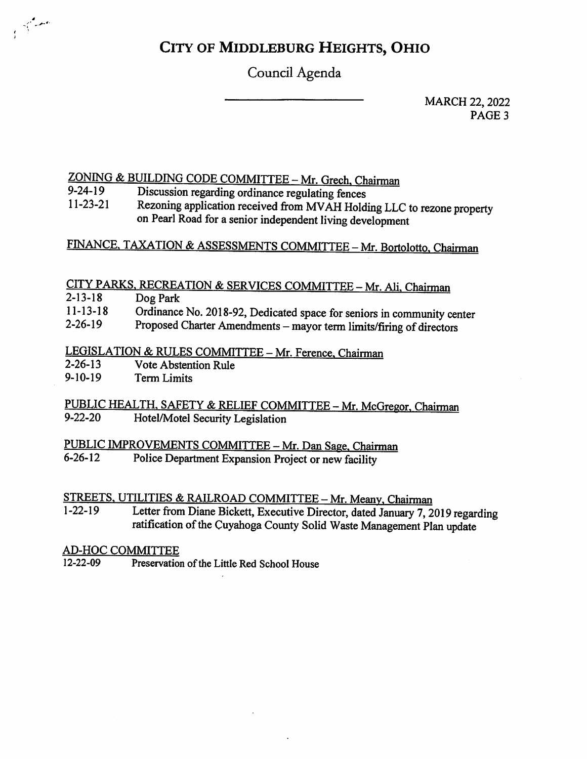# City of Middleburg Heights, Ohio

Council Agenda

MARCH 22, 2022 PAGE<sub>3</sub>

# $ZONING & BULDING CODE COMMITTEE - Mr. Grech, Chairman$ <br>9-24-19 Discussion regarding ordinance regulating fences

- 9-24-19 Discussion regarding ordinance regulating fences
- 11-23-21 Rezoning application received from MVAH Holding LLC to rezone property on Pearl Road for a senior independent living development

## FINANCE, TAXATION & ASSESSMENTS COMMITTEE - Mr. Bortolotto, Chairman

## CITY PARKS, RECREATION & SERVICES COMMITTEE - Mr. Ali, Chairman

2-13-18 Dog Park

 $\frac{1}{\sqrt{2}}\int_{0}^{\frac{1}{2}}\frac{e^{i\omega t}}{t^{2}}dt$ 

- 11-13-18 Ordinance No. 2018-92, Dedicated space for seniors in community center
- 2-26-19 Proposed Charter Amendments - mayor term limits/firing of directors

# LEGISLATION & RULES COMMITTEE - Mr. Ference, Chairman<br>2-26-13 Vote Abstention Rule

- 2-26-13 Vote Abstention Rule<br>9-10-19 Term Limits
- Term Limits

### PUBLIC HEALTH, SAFETY & RELIEF COMMITTEE - Mr. McGregor, Chairman<br>9-22-20 Hotel/Motel Security Legislation Hotel/Motel Security Legislation

# PUBLIC IMPROVEMENTS COMMITTEE - Mr. Dan Sage, Chairman<br>6-26-12 Police Department Expansion Project or new facility

Police Department Expansion Project or new facility

# STREETS, UTILITIES & RAILROAD COMMITTEE - Mr. Meany, Chairman<br>1-22-19 Letter from Diane Bickett Executive Director dated January 7.

Letter from Diane Bickett, Executive Director, dated January 7, 2019 regarding ratification of the Cuyahoga County Solid Waste Management Plan update

# AD-HOC COMMITTEE<br>12-22-09 Preservatio

Preservation of the Little Red School House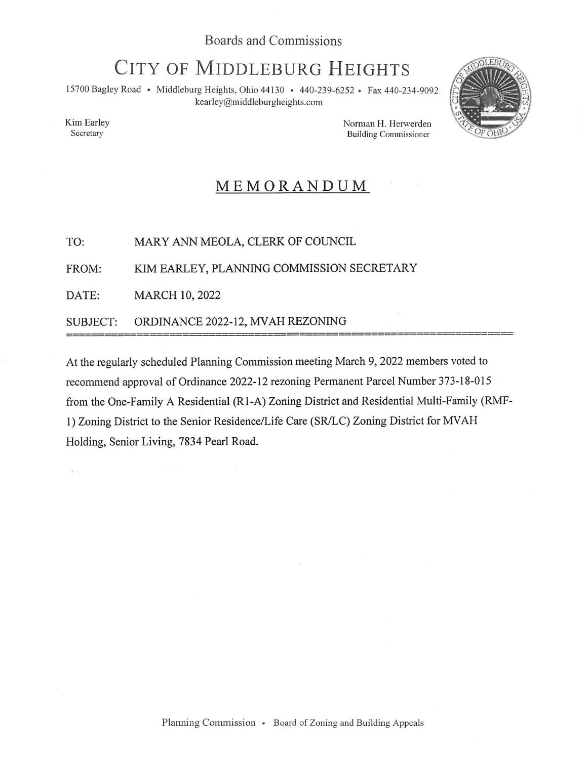# CITY OF MIDDLEBURG HEIGHTS

15700 Bagley Road • Middleburg Heights, Ohio 44130 • 440-239-6252 • Fax 440-234-9092 kearley@middleburgheights.com



Kim Earley Secretary

 $\frac{1}{2}$  ,  $\chi$ 

Norman H. Herwerden Building Commissioner

# MEMORANDUM

TO: MARY ANN MEOLA, CLERK OF COUNCIL

FROM: KIM EARLEY, PLANNING COMMISSION SECRETARY

DATE: MARCH 10, 2022

SUBJECT: ORDINANCE 2022-12, MVAH REZONING

At the regularly scheduled Planning Commission meeting March 9, 2022 members voted to recommend approval of Ordinance 2022-12 rezoning Permanent Parcel Number 373-18-015 from the One-Family A Residential (Rl-A) Zoning District and Residential Multi-Family (RMF-1) Zoning District to the Senior Residence/Life Care (SR/LC) Zoning District for MVAH Holding, Senior Living, 7834 Pearl Road.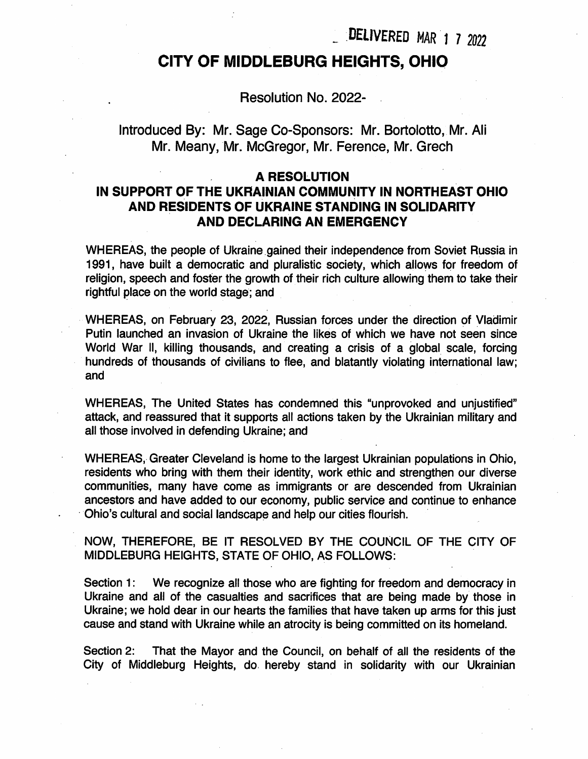DELIVERED MAR 1 7 2022

## CITY OF MIDDLEBURG HEIGHTS, OHIO

Resolution No. 2022-

Introduced By: Mr. Sage Co-Sponsors: Mr. Bortolotto, Mr. All Mr. Meany, Mr. McGregor, Mr. Ference, Mr. Grech

### A RESOLUTION

### IN SUPPORT OF THE UKRAINIAN COMMUNITY IN NORTHEAST OHIO AND RESIDENTS OF UKRAINE STANDING IN SOLIDARITY AND DECLARING AN EMERGENCY

WHEREAS, the people of Ukraine gained their independence from Soviet Russia in 1991, have built a democratic and pluralistic society, which allows for freedom of religion, speech and foster the growth of their rich culture allowing them to take their rightful place on the world stage; and

WHEREAS, on February 23, 2022, Russian forces under the direction of Vladimir Putin launched an invasion of Ukraine the likes of which we have not seen since World War II, killing thousands, and creating a crisis of a global scale, forcing hundreds of thousands of civilians to flee, and blatantly violating international law; and

WHEREAS, The United States has condemned this "unprovoked and unjustified" attack, and reassured that it supports all actions taken by the Ukrainian military and all those involved in defending Ukraine; and

WHEREAS, Greater Cleveland is home to the largest Ukrainian populations in Ohio, residents who bring with them their identity, work ethic and strengthen our diverse communities, many have come as immigrants or are descended from Ukrainian ancestors and have added to our economy, public service and continue to enhance Ohio's cultural and social landscape and help our cities flourish.

NOW, THEREFORE, BE IT RESOLVED BY THE COUNCIL OF THE CITY OF MIDDLEBURG HEIGHTS, STATE OF OHIO, AS FOLLOWS:

Section 1: Ukraine and all of the casualties and sacrifices that are being made by those in Ukraine; we hold dear in our hearts the families that have taken up arms for this just cause and stand with Ukraine while an atrocity is being committed on its homeland. We recognize all those who are fighting for freedom and democracy in

Section 2: City of Middleburg Heights, do hereby stand in solidarity with our Ukrainian That the Mayor and the Council, on behalf of all the residents of the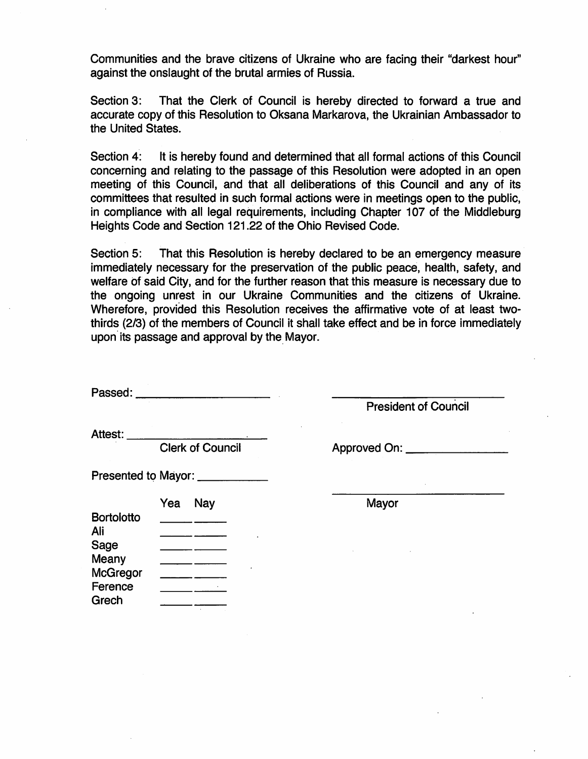Communities and the brave citizens of Ukraine who are facing their "darkest hour against the onslaught of the brutal armies of Russia.

Section 3; accurate copy of this Resolution to Oksana Markarova, the Ukrainian Ambassador to the United States. That the Clerk of Council is hereby directed to forward a true and

Section 4: concerning and relating to the passage of this Resolution were adopted in an open meeting of this Council, and that all deliberations of this Council and any of its committees that resulted in such formal actions were in meetings open to the public, in compliance with all legal requirements, including Chapter 107 of the Middleburg Heights Code and Section 121.22 of the Ohio Revised Code. It is hereby found and determined that all formal actions of this Council

Section 5: immediately necessary for the preservation of the public peace, health, safety, and welfare of said City, and for the further reason that this measure is necessary due to the ongoing unrest in our Ukraine Communities and the citizens of Ukraine. Wherefore, provided this Resolution receives the affirmative vote of at least twothirds (2/3) of the members of Council it shall take effect and be in force immediately upon its passage and approval by the Mayor. That this Resolution is hereby declared to be an emergency measure

Passed: **Example 2018** 

President of Council

Attest:

Clerk of Council **Approved On:** 

Presented to Mayor:

|                   | Yea<br>Nay |   | Mayor |
|-------------------|------------|---|-------|
| <b>Bortolotto</b> |            |   |       |
| Ali               |            |   |       |
| <b>Sage</b>       |            |   |       |
| Meany             |            |   |       |
| <b>McGregor</b>   |            | ٠ |       |
| Ference           |            | ٠ |       |
| Grech             |            |   |       |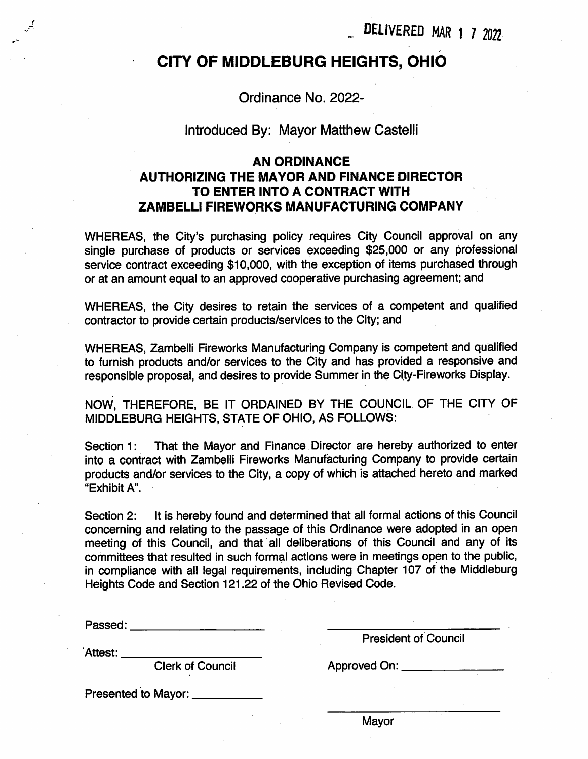DELIVERED MAR 1 7 2022

## CITY OF MIDDLEBURG HEIGHTS, OHIO

Ordinance No. 2022-

### Introduced By: Mayor Matthew Castelli

### AN ORDINANCE AUTHORIZING THE MAYOR AND FINANCE DIRECTOR TO ENTER INTO A CONTRACT WITH ZAMBELLI FIREWORKS MANUFACTURING COMPANY

WHEREAS, the City's purchasing policy requires City Council approval on any single purchase of products or services exceeding \$25,000 or any professional service contract exceeding \$10,000, with the exception of items purchased through or at an amount equal to an approved cooperative purchasing agreement; and

WHEREAS, the City desires to retain the services of a competent and qualified contractor to provide certain products/services to the City; and

WHEREAS, Zambelli Fireworks Manufacturing Company is competent and qualified to furnish products and/or services to the City and has provided a responsive and responsible proposal, and desires to provide Summer in the City-Fireworks Display.

NOW, THEREFORE, BE IT ORDAINED BY THE COUNCIL OF THE CITY OF MIDDLEBURG HEIGHTS, STATE OF OHIO, AS FOLLOWS:

Section 1: That the Mayor and Finance Director are hereby authorized to enter into a contract with Zambelli Fireworks Manufacturing Company to provide certain products and/or services to the City, a copy of which is attached hereto and marked "Exhibit A".

It is hereby found and determined that all formal actions of this Council concerning and relating to the passage of this Ordinance were adopted in an open meeting of this Council, and that all deliberations of this Council and any of its committees that resulted in such formal actions were in meetings open to the public, in compliance with all legal requirements, including Chapter 107 of the Middleburg Heights Code and Section 121.22 of the Ohio Revised Code. Section 2:

Passed: **Example 2018** 

President of Council

Attest:

f

Clerk of Council **Approved On:** 

Presented to Mayor:

**Mayor**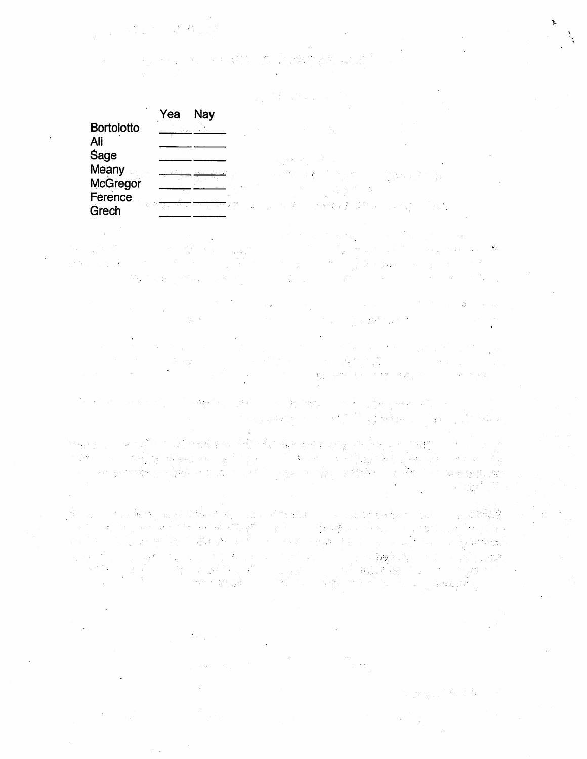1. 经公司 建立

|                          |     |                          | such as the control of the control               |  |
|--------------------------|-----|--------------------------|--------------------------------------------------|--|
|                          | Yea | Nay                      |                                                  |  |
| <b>Bortolotto</b><br>Ali |     | <b>Contract Contract</b> |                                                  |  |
| <b>Sage</b><br>Meany     |     | <u> 1999 - Marcel</u>    | 이 사람 후 아이들은 사람들은 아이들이 있다.<br>网络加拿大人 计语言 医脑膜炎 经无数 |  |
| McGregor<br>Ference      |     |                          |                                                  |  |
| Grech                    |     |                          | 的第三人称单数 计解释文件文件 医心包结 人名法加                        |  |

 $\mathcal{O}_{\mathcal{A}}(\mathcal{A})$  and  $\mathcal{O}_{\mathcal{A}}(\mathcal{A})$  $\label{eq:2.1} \frac{1}{2} \sum_{i=1}^n \frac{1}{2} \sum_{i=1}^n \frac{1}{2} \sum_{i=1}^n \sum_{j=1}^n \frac{1}{2} \sum_{i=1}^n \frac{1}{2} \sum_{i=1}^n \frac{1}{2} \sum_{j=1}^n \frac{1}{2} \sum_{j=1}^n \frac{1}{2} \sum_{j=1}^n \frac{1}{2} \sum_{j=1}^n \frac{1}{2} \sum_{j=1}^n \frac{1}{2} \sum_{j=1}^n \frac{1}{2} \sum_{j=1}^n \frac{1}{2} \sum_{$  $\mathcal{M}_{\text{c}}$  , where  $\mathcal{M}_{\text{c}}$  is the set of  $\mathcal{M}_{\text{c}}$ 

 $\label{eq:2.1} \frac{d\mathbf{r}}{dt} = \frac{d\mathbf{r}}{dt} \left[ \begin{array}{cc} \mathbf{r} & \mathbf{r} \\ \mathbf{r} & \mathbf{r} \end{array} \right] \mathbf{r} \left[ \begin{array}{cc} \mathbf{r} & \mathbf{r} \\ \mathbf{r} & \mathbf{r} \end{array} \right]$  $\sim 10^{11}$  km s  $^{-1}$ (一) 第一章  $\sim 100$  km s  $^{-1}$ a sa kalifata na matangan sa kalifata na matangan na matangan na matangan na matangan na matangan na matangan<br>Tanggan na matangan na matangan na matangan na matangan na matangan na matangan na matangan na matangan na mat 

the state and state of employees that a state of the state of the state of the state of the state of the state of the state of the state of the state of the state of the state of the state of the state of the state of the 不能再增 医不同性质过敏症 医第二次性的

的复数人名英格兰人姓氏赫斯特的变体 医阿尔德氏神经神经 医肠动脉炎 医细胞的 计自动的  $\label{eq:2} \mathcal{L}=\frac{1}{2}\sum_{i=1}^N\frac{1}{2}\sum_{i=1}^N\frac{1}{2}\sum_{i=1}^N\frac{1}{2}\sum_{i=1}^N\frac{1}{2}\sum_{i=1}^N\frac{1}{2}\sum_{i=1}^N\frac{1}{2}\sum_{i=1}^N\frac{1}{2}\sum_{i=1}^N\frac{1}{2}\sum_{i=1}^N\frac{1}{2}\sum_{i=1}^N\frac{1}{2}\sum_{i=1}^N\frac{1}{2}\sum_{i=1}^N\frac{1}{2}\sum_{i=1}^N\frac{1}{2}\sum_{i=1$ 

通知 医内侧肌瘤 网络树树树木 网络罗马城市 医耳蜗切除术 医中心肌 医心包 an di sebagai di banyakan di banyakan di banyakan di sebagai di banyakan di banyakan di banyakan di banyakan.<br>Sebagai di banyakan di banyakan di banyakan di banyakan di banyakan di banyakan di banyakan di banyakan.<br>Sebagai 

> $\sim 100\,{\rm Mpc}$  $\mathcal{O}(\mathcal{O}_\mathcal{A})$  . The  $\mathcal{O}(\mathcal{O}_\mathcal{A})$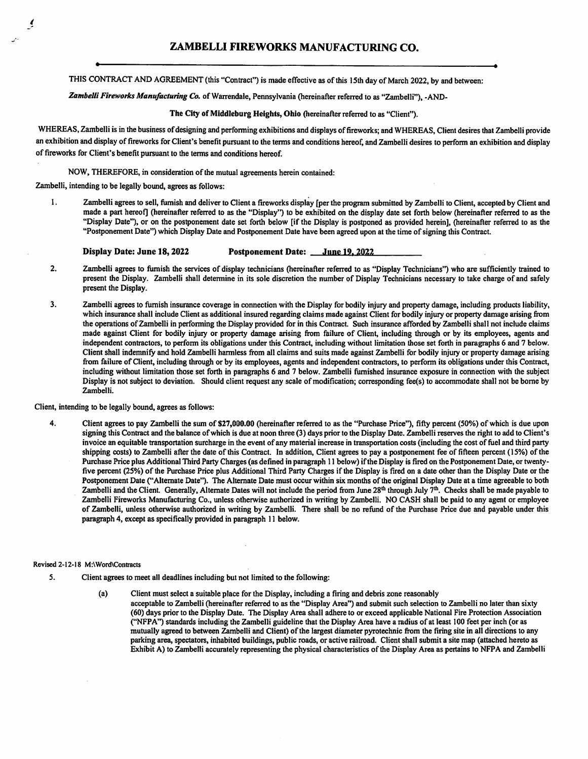THIS CONTRACT AND AGREEMENT (this "Contract") is made effective as of this 15th day of March 2022, by and between:

Zambelli Fireworks Manufacturing Co. of Warrendale, Pennsylvania (hereinafter referred to as "Zambelli"), -AND-

#### The City of Middleburg Heights, Ohio (hereinafter referred to as "Client").

WHEREAS, Zambelli is in the business of designing and perfonning exhibitions and displays of fireworks; and WHEREAS, Client desires that Zambelli provide an exhibition and display of fireworks for Client's benefit pursuant to the tenns and conditions hereof, and Zambelli desires to perform an exhibition and display of fireworks for Client's benefit pursuant to the terms and conditions hereof

#### NOW, THEREFORE, in consideration of the mutual agreements herein contained:

Zambelli, intending to be legally bound, agrees as follows:

/

Zambelli agrees to sell, furnish and deliver to Client a fireworks display [per the program submitted by Zambelli to Client, accepted by Client and made a part hereof] (hereinafter referred to as the "Display") to be exhibited on the display date set forth below (hereinafter referred to as the "Display Date"), or on the postponement date set forth below [if the Display is postponed as provided herein], (hereinafter referred to as the "Postponement Date") which Display Date and Postponement Date have been agreed upon at the time of signing this Contract, 1.

#### Display Date: June 18, 2022 **Postponement Date:** June 19, 2022

- Zambelli agrees to furnish the services of display technicians (hereinafter referred to as "Display Technicians") who are sufficiently trained to present the Display. Zambelli shall detennine in its sole discretion the number of Display Technicians necessary to take charge of and safely present the Display. 2.
- Zambelli agrees to furnish insurance coverage in connection with the Display for bodily injury and property damage, including products liability, which insurance shall include Client as additional insured regarding claims made against Client for bodily injury or property damage arising from the operations of Zambelli in perfonning the Display provided for in this Contract. Such insurance afforded by Zambelli shall not include claims made against Client for bodily injury or property damage arising from failure of Client, including through or by its employees, agents and independent contractors, to perfonn its obligations under this Contract, including without limitation those set forth in paragraphs 6 and 7 below. Client shall indemnify and hold Zambelli harmless from all claims and suits made against Zambelli for bodily injury or property damage arising from failure of Client, including through or by its employees, agents and independent contractors, to perform its obligations under this Contract, including without limitation those set forth in paragraphs 6 and 7 below. Zambelli furnished insurance exposure in connection with the subject Display is not subject to deviation. Should client request any scale of modification; corresponding fee(s) to accommodate shall not be borne by Zambelli. 3.

Client, intending to be legally bound, agrees as follows:

Client agrees to pay Zambelli the sum of \$27,000.00 (hereinafter referred to as the "Purchase Price"), fifty percent (50%) of which is due upon signing this Contract and the balance of which is due at noon three (3) days prior to the Display Date. Zambelli reserves the right to add to Client's invoice an equitable transportation surcharge in the event of any material increase in transportation costs (including the cost of fuel and third party shipping costs) to Zambelli after the date of this Contract. In addition. Client agrees to pay a postponement fee of fifteen percent (15%) of the Purchase Price plus Additional Third Party Charges (as defined in paragraph 11 below) if the Display is fired on the Postponement Date, or twentyfive percent (25%) of the Purchase Price plus Additional Third Party Charges if the Display is fired on a date other than the Display Date or the Postponement Date ("Alternate Date"). The Alternate Date must occur within six months of the original Display Date at a time agreeable to both Zambelli and the Client. Generally, Alternate Dates will not include the period from June 28<sup>th</sup> through July  $7<sup>th</sup>$ . Checks shall be made payable to Zambelli Fireworks Manufacturing Co., unless otherwise authorized in writing by Zambelli, NO CASH shall be paid to any agent or employee of Zambelli, unless otherwise authorized in writing by Zambelli. There shall be no refund of the Purchase Price due and payable under this paragraph 4, except as specifically provided in paragraph 11 below. 4.

#### Revised 2-12-18 M:\Word\Contracts

- Client agrees to meet all deadlines including but not limited to the following: 5.
	- Client must select a suitable place for the Display, including a firing and debris zone reasonably acceptable to Zambelli (hereinafter referred to as the "Display Area") and submit such selection to Zambelli no later than sixty (60) days prior to the Display Date. The Display Area shall adhere to or exceed applicable National Fire Protection Association ("NFPA") standards including the Zambelli guideline that the Display Area have a radius of at least 100 feet per inch (or as mutually agreed to between Zambelli and Client) of the largest diameter pyrotechnic from the firing site in all directions to any parking area, spectators, inhabited buildings, public roads, or active railroad. Client shall submit a site map (attached hereto as Exhibit A) to Zambelli accurately representing the physical characteristics of the Display Area as pertains to NFPA and Zambelli (a)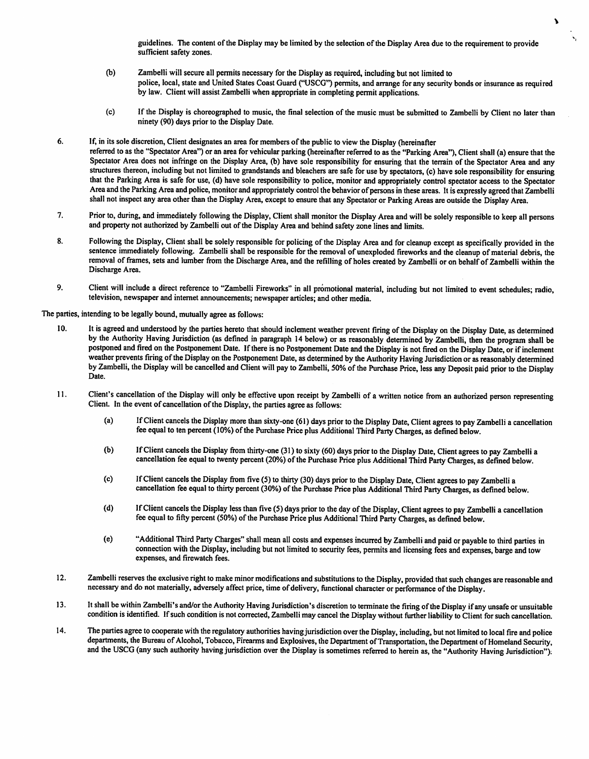guidelines. The content of the Display may be limited by the selection of the Display Area due to the requirement to provide sufficient safety zones.

- (b) Zambelli will secure all permits necessary for the Display as required, including but not limited to police, local, state and United States Coast Guard ("USCG") permits, and arrange for any security bonds or insurance as required by law. Client will assist Zambelli when appropriate in completing permit applications.
- If the Display is choreographed to music, the final selection of the music must be submitted to Zambelli by Client no later than ninety (90) days prior to the Display Date. (c)
- If, in its sole discretion, Client designates an area for members of the public to view the Display (hereinafter referred to as the "Spectator Area") or an area for vehicular parking (hereinafter referred to as the "Parking Area"), Client shall (a) ensure that the Spectator Area does not infringe on the Display Area, (b) have sole responsibility for ensuring that the terrain of the Spectator Area and any structures thereon, including but not limited to grandstands and bleachers are safe for use by spectators, (c) have sole responsibility for ensuring that the Parking Area is safe for use, (d) have sole responsibility to police, monitor and appropriately control spectator access to the Spectator Area and the Parking Area and police, monitor and appropriately control the behavior of persons in these areas. It is expressly agreed that Zambelli shall not inspect any area other than the Display Area, except to ensure that any Spectator or Parking Areas are outside the Display Area. 6.
- Prior to, during, and immediately following the Display, Client shall monitor the Display Area and will be solely responsible to keep all persons and property not authorized by Zambelli out of the Display Area and behind safety zone lines and limits. 7.
- Following the Display, Client shall be solely responsible for policing of the Display Area and for cleanup except as specifically provided in the 8. sentence immediately following. Zambelli shall be responsible for the removal of unexploded fireworks and the cleanup of material debris, the removal of frames, sets and lumber from the Discharge Area, and the refilling of holes created by Zambelli or on behalf of Zambelli within the Discharge Area.
- Client will include a direct reference to "Zambelli Fireworks" in all promotional material, including but not limited to event schedules; radio, television, newspaper and internet announcements; newspaper articles; and other media. 9.

The parties, intending to be legally bound, mutually agree as follows:

- It is agreed and understood by the parties hereto that should inclement weather prevent firing of the Display on the Display Date, as detennined by the Authority Having Jurisdiction (as defined in paragraph 14 below) or as reasonably determined by Zambelli, then the program shall be postponed and fired on the Postponement Date. If there is no Postponement Date and the Display is not fired on the Display Date, or if inclement weather prevents firing of the Display on the Postponement Date, as determined by the Authority Having Jurisdiction or as reasonably determined by Zambelli, the Display will be cancelled and Client will pay to Zambelli, 50% of the Purchase Price, less any Deposit paid prior to the Display Date. 10.
- 11. Client's cancellation of the Display will only be effective upon receipt by Zambelli of a written notice from an authorized person representing Client. In the event of cancellation of the Display, the parties agree as follows:
	- If Client cancels the Display more than sixty-one (61) days prior to the Display Date, Client agrees to pay Zambelli a cancellation fee equal to ten percent (10%) of the Purchase Price plus Additional Third Party Charges, as defined below. (a)
	- If Client cancels the Display from thirty-one (31) to sixty (60) days prior to the Display Date, Client agrees to pay Zambelli a cancellation fee equal to twenty percent (20%) of the Purchase Price plus Additional Third Party Charges, as defined below. (b)
	- If Client cancels the Display from five (5) to thirty (30) days prior to the Display Date, Client agrees to pay Zambelli a cancellation fee equal to thirty percent (30%) of the Purchase Price plus Additional Third Party Charges, as defined below. (c)
	- If Client cancels the Display less than five (5) days prior to the day of the Display, Client agrees to pay Zambelli a cancellation fee equal to fifty percent (50%) of the Purchase Price plus Additional Third Party Charges, as defined below. (d)
	- (e) "Additional Third Party Charges" shall mean all costs and expenses incurred by Zambelli and paid or payable to third parties in connection with the Display, including but not limited to security fees, permits and licensing fees and expenses, barge and tow expenses, and firewatch fees.
- 12. Zambelli reserves the exclusive right to make minor modifications and substitutions to the Display, provided that such changes are reasonable and necessary and do not materially, adversely affect price, time of delivery, functional character or performance of the Display.
- It shall be within Zambelli's and/or the Authority Having Jurisdiction's discretion to tenninate the firing of the Display if any unsafe or unsuitable condition is identified. If such condition is not corrected, Zambelli may cancel the Display without further liability to Client for such cancellation. 13.
- The parties agree to cooperate with the regulatory authorities having jurisdiction over the Display, including, but not limited to local fire and police departments, the Bureau of Alcohol, Tobacco, Firearms and Explosives, the Department of Transportation, the Department of Homeland Security, and the USCG (any such authority having jurisdiction over the Display is sometimes referred to herein as, the "Authority Having Jurisdiction"). 14.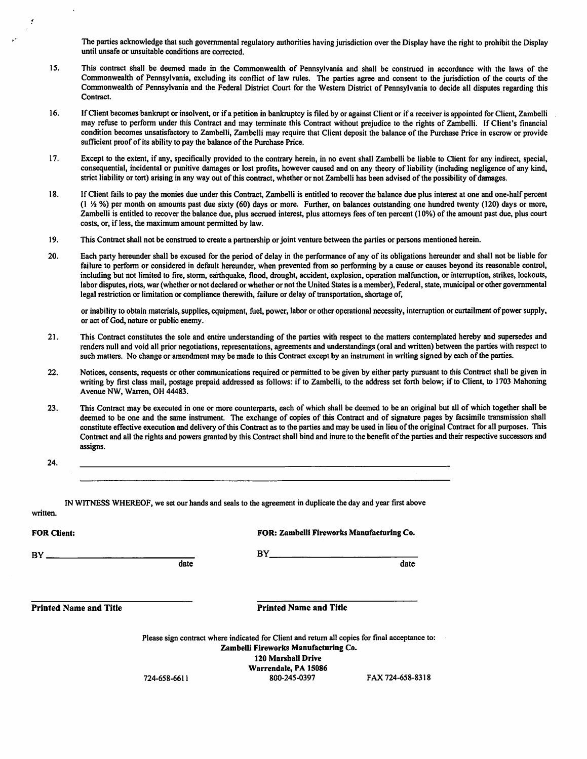The parties acknowledge that such governmental regulatory authorities having jurisdiction over the Display have the right to prohibit the Display until unsafe or unsuitable conditions are corrected.

- This contract shall be deemed made in the Commonwealth of Pennsylvania and shall be construed in accordance with the laws of the Commonwealth of Pennsylvania, excluding its conflict of law rules. The parties agree and consent to the jurisdiction of the courts of the Commonwealth of Pennsylvania and the Federal District Court for the Western District of Pennsylvania to decide all disputes regarding this Contract. 15.
- 16. If Client becomes bankrupt or insolvent, or if a petition in bankruptcy is filed by or against Client or if a receiver is appointed for Client, Zambelli may refuse to perfonn under this Contract and may tenninate this Contract without prejudice to the rights of Zambelli. If Client's financial condition becomes unsatisfactory to Zambelli, Zambelli may require that Client deposit the balance of the Purchase Price in escrow or provide sufficient proof of its ability to pay the balance of the Purchase Price.
- Except to the extent, if any, specifically provided to the contrary herein, in no event shall Zambelli be liable to Client for any indirect, special, consequential, incidental or punitive damages or lost profits, however caused and on any theory of liability (including negligence of any kind, strict liability or tort) arising in any way out of this contract, whether or not Zambelli has been advised of the possibility of damages. 17.
- If Client fails to pay the monies due under this Contract, Zambelli is entitled to recover the balance due plus interest at one and one-half percent (1 '/z %) per month on amounts past due sixty (60) days or more. Further, on balances outstanding one hundred twenty (120) days or more, Zambelli is entitled to recover the balance due, plus accrued interest, plus attorneys fees of ten percent (10%) of the amount past due, plus court costs, or, if less, the maximum amount pennitted by law. 18.
- This Contract shall not be construed to create a partnership or joint venture between the parties or persons mentioned herein. 19.
- Each party hereunder shall be excused for the period of delay in the performance of any of its obligations hereunder and shall not be liable for failure to perform or considered in default hereunder, when prevented from so performing by a cause or causes beyond its reasonable control, including but not limited to fire, stonn, earthquake, flood, drought, accident, explosion, operation malfunction, or interruption, strikes, lockouts, labor disputes, riots, war (whether or not declared or whether or not the United States is a member). Federal, state, municipal or other governmental legal restriction or limitation or compliance therewith, failure or delay of transportation, shortage of, 20.

or inability to obtain materials, supplies, equipment, fuel, power, labor or other operational necessity, interruption or curtailment of power supply, or act of God, nature or public enemy.

- This Contract constitutes the sole and entire understanding of the parties with respect to the matters contemplated hereby and supersedes and renders null and void all prior negotiations, representations, agreements and understandings (oral and written) between the parties with respect to such matters. No change or amendment may be made to this Contract except by an instrument in writing signed by each of the parties. 21.
- Notices, consents, requests or other communications required or pennitted to be given by either party pursuant to this Contract shall be given in writing by first class mail, postage prepaid addressed as follows: if to Zambelli, to the address set forth below; if to Client, to 1703 Mahoning Avenue NW, Warren, OH 44483. 22.
- This Contract may be executed in one or more counterparts, each of which shall be deemed to be an original but all of which together shall be deemed to be one and the same instmment. The exchange of copies of this Contract and of signature pages by facsimile transmission shall constitute effective execution and delivery of this Contract as to the parties and may be used in lieu of the original Contract for all purposes. This Contract and all the rights and powers granted by this Contract shall bind and inure to the benefit of the parties and their respective successors and assigns. 23.

24.

written.

IN WITNESS WHEREOF, we set our hands and seals to the agreement in duplicate the day and year first above

| <b>FOR Client:</b>            |              | <b>FOR: Zambelli Fireworks Manufacturing Co.</b>                                                                                                                                                            |                  |
|-------------------------------|--------------|-------------------------------------------------------------------------------------------------------------------------------------------------------------------------------------------------------------|------------------|
| $BY$ $-$                      | date         | BY                                                                                                                                                                                                          | date             |
| <b>Printed Name and Title</b> |              | <b>Printed Name and Title</b>                                                                                                                                                                               |                  |
|                               | 724-658-6611 | Please sign contract where indicated for Client and return all copies for final acceptance to:<br>Zambelli Fireworks Manufacturing Co.<br><b>120 Marshall Drive</b><br>Warrendale, PA 15086<br>800-245-0397 | FAX 724-658-8318 |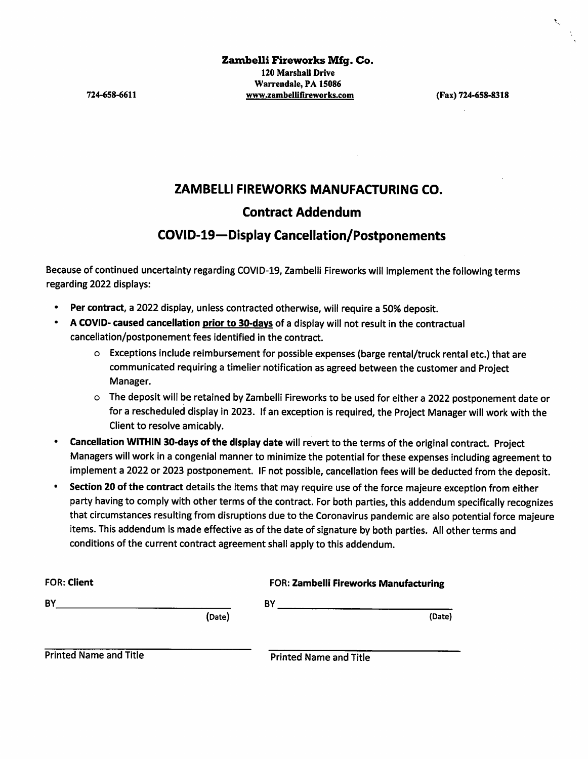### ZAMBELLI FIREWORKS MANUFACTURING CO.

### Contract Addendum

### COVID-19—Display Cancellation/Postponements

Because of continued uncertainty regarding COVID-19, Zambelli Fireworks will implement the following terms regarding 2022 displays:

- Per contract, a 2022 display, unless contracted otherwise, will require a 50% deposit.
- A COVID- caused cancellation prior to 30-days of a display will not result in the contractual cancellation/postponement fees identified in the contract,
	- o Exceptions include reimbursement for possible expenses (barge rental/truck rental etc.) that are communicated requiring a timelier notification as agreed between the customer and Project Manager,
	- o The deposit will be retained by Zambelli Fireworks to be used for either a 2022 postponement date or for a rescheduled display in 2023. If an exception is required, the Project Manager will work with the Client to resolve amicably.
- Cancellation WITHIN 30-days of the display date will revert to the terms of the original contract. Project Managers will work in a congenial manner to minimize the potential for these expenses including agreement to implement a 2022 or 2023 postponement. IF not possible, cancellation fees will be deducted from the deposit.
- Section 20 of the contract details the items that may require use of the force majeure exception from either party having to comply with other terms of the contract. For both parties, this addendum specifically recognizes that circumstances resulting from disruptions due to the Coronavirus pandemic are also potential force majeure items. This addendum is made effective as of the date of signature by both parties. All other terms and conditions of the current contract agreement shall apply to this addendum.

| <b>FOR: Client</b> |        | FOR: Zambelli Fireworks Manufacturing |  |
|--------------------|--------|---------------------------------------|--|
| BY                 |        | BY                                    |  |
|                    | (Date) | (Date)                                |  |
|                    |        |                                       |  |

Printed Name and Title **Printed Name and Title**